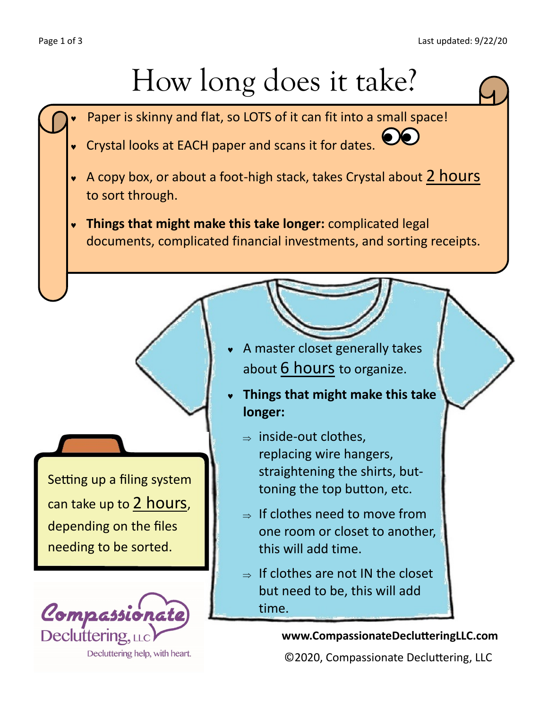## How long does it take?

- Paper is skinny and flat, so LOTS of it can fit into a small space!
- Crystal looks at EACH paper and scans it for dates.
- A copy box, or about a foot-high stack, takes Crystal about 2 hours to sort through.
- **Things that might make this take longer:** complicated legal documents, complicated financial investments, and sorting receipts.

Setting up a filing system can take up to 2 hours, depending on the files needing to be sorted.



- A master closet generally takes about 6 hours to organize.
- **Things that might make this take longer:** 
	- $\Rightarrow$  inside-out clothes. replacing wire hangers, straightening the shirts, buttoning the top button, etc.
	- $\Rightarrow$  If clothes need to move from one room or closet to another, this will add time.
	- $\Rightarrow$  If clothes are not IN the closet but need to be, this will add time.

## **www.CompassionateDeclutteringLLC.com**

©2020, Compassionate Decluttering, LLC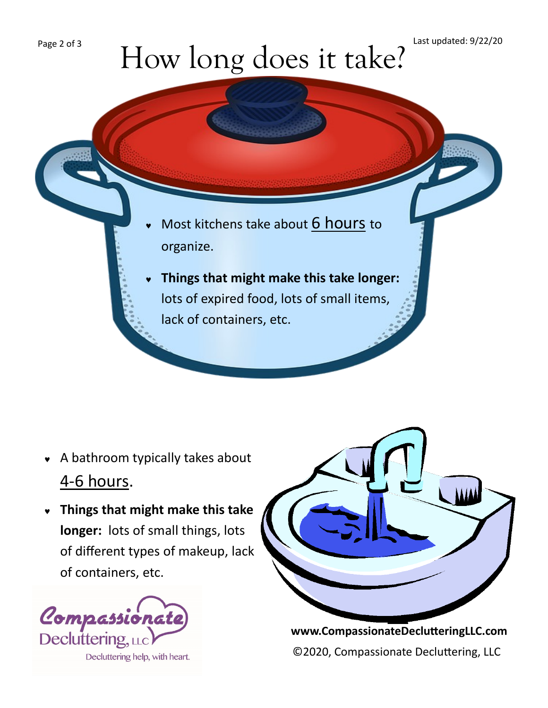## How long does it take?

- Most kitchens take about 6 hours to organize.
- **Things that might make this take longer:** lots of expired food, lots of small items, lack of containers, etc.

- A bathroom typically takes about 4-6 hours.
- **Things that might make this take longer:** lots of small things, lots of different types of makeup, lack of containers, etc.





**www.CompassionateDeclutteringLLC.com** ©2020, Compassionate Decluttering, LLC